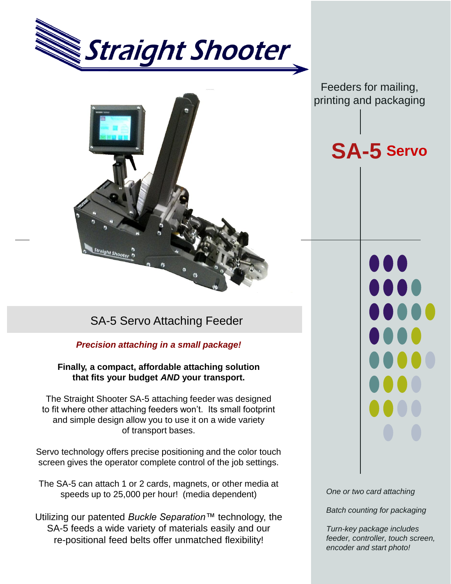



## SA-5 Servo Attaching Feeder

### *Precision attaching in a small package!*

### **Finally, a compact, affordable attaching solution that fits your budget** *AND* **your transport.**

The Straight Shooter SA-5 attaching feeder was designed to fit where other attaching feeders won't. Its small footprint and simple design allow you to use it on a wide variety of transport bases.

Servo technology offers precise positioning and the color touch screen gives the operator complete control of the job settings.

The SA-5 can attach 1 or 2 cards, magnets, or other media at speeds up to 25,000 per hour! (media dependent)

Utilizing our patented *Buckle Separation™* technology, the SA-5 feeds a wide variety of materials easily and our re-positional feed belts offer unmatched flexibility!

Feeders for mailing, printing and packaging

# **SA-5 Servo**

 $\bullet$ 

00

*One or two card attaching*

*Batch counting for packaging*

*Turn-key package includes feeder, controller, touch screen, encoder and start photo!*